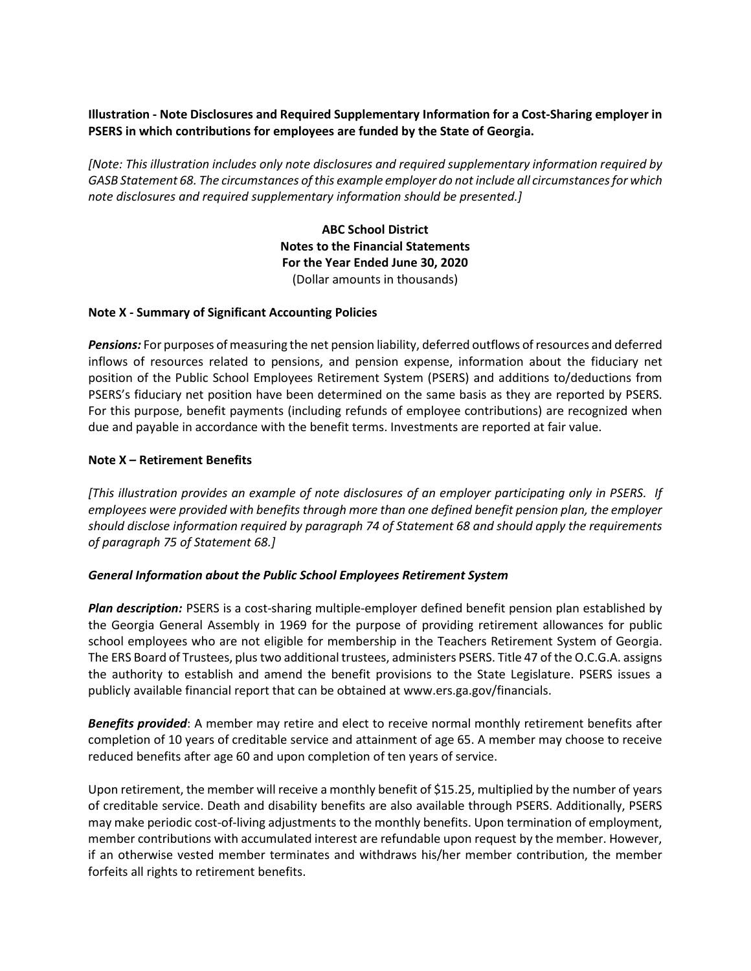# **Illustration - Note Disclosures and Required Supplementary Information for a Cost-Sharing employer in PSERS in which contributions for employees are funded by the State of Georgia.**

*[Note: This illustration includes only note disclosures and required supplementary information required by GASB Statement 68. The circumstances of this example employer do not include all circumstances for which note disclosures and required supplementary information should be presented.]*

> **ABC School District Notes to the Financial Statements For the Year Ended June 30, 2020** (Dollar amounts in thousands)

## **Note X - Summary of Significant Accounting Policies**

*Pensions:* For purposes of measuring the net pension liability, deferred outflows of resources and deferred inflows of resources related to pensions, and pension expense, information about the fiduciary net position of the Public School Employees Retirement System (PSERS) and additions to/deductions from PSERS's fiduciary net position have been determined on the same basis as they are reported by PSERS. For this purpose, benefit payments (including refunds of employee contributions) are recognized when due and payable in accordance with the benefit terms. Investments are reported at fair value.

## **Note X – Retirement Benefits**

*[This illustration provides an example of note disclosures of an employer participating only in PSERS. If employees were provided with benefits through more than one defined benefit pension plan, the employer should disclose information required by paragraph 74 of Statement 68 and should apply the requirements of paragraph 75 of Statement 68.]*

#### *General Information about the Public School Employees Retirement System*

*Plan description:* PSERS is a cost-sharing multiple-employer defined benefit pension plan established by the Georgia General Assembly in 1969 for the purpose of providing retirement allowances for public school employees who are not eligible for membership in the Teachers Retirement System of Georgia. The ERS Board of Trustees, plus two additional trustees, administers PSERS. Title 47 of the O.C.G.A. assigns the authority to establish and amend the benefit provisions to the State Legislature. PSERS issues a publicly available financial report that can be obtained at www.ers.ga.gov/financials.

*Benefits provided*: A member may retire and elect to receive normal monthly retirement benefits after completion of 10 years of creditable service and attainment of age 65. A member may choose to receive reduced benefits after age 60 and upon completion of ten years of service.

Upon retirement, the member will receive a monthly benefit of \$15.25, multiplied by the number of years of creditable service. Death and disability benefits are also available through PSERS. Additionally, PSERS may make periodic cost-of-living adjustments to the monthly benefits. Upon termination of employment, member contributions with accumulated interest are refundable upon request by the member. However, if an otherwise vested member terminates and withdraws his/her member contribution, the member forfeits all rights to retirement benefits.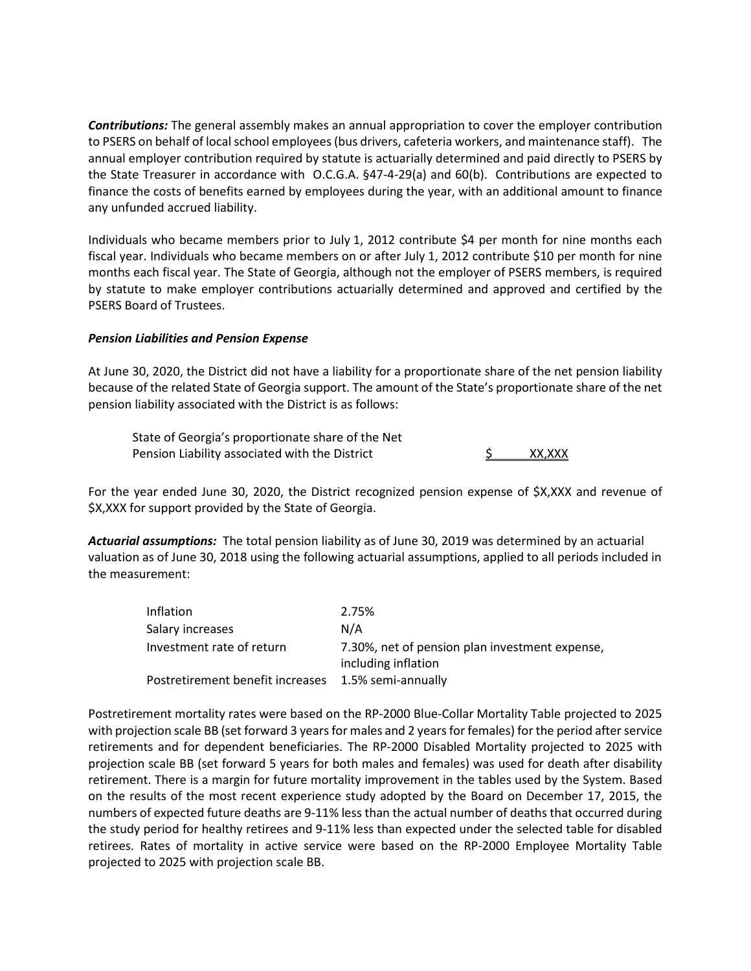*Contributions:* The general assembly makes an annual appropriation to cover the employer contribution to PSERS on behalf of local school employees (bus drivers, cafeteria workers, and maintenance staff). The annual employer contribution required by statute is actuarially determined and paid directly to PSERS by the State Treasurer in accordance with O.C.G.A. §47-4-29(a) and 60(b). Contributions are expected to finance the costs of benefits earned by employees during the year, with an additional amount to finance any unfunded accrued liability.

Individuals who became members prior to July 1, 2012 contribute \$4 per month for nine months each fiscal year. Individuals who became members on or after July 1, 2012 contribute \$10 per month for nine months each fiscal year. The State of Georgia, although not the employer of PSERS members, is required by statute to make employer contributions actuarially determined and approved and certified by the PSERS Board of Trustees.

## *Pension Liabilities and Pension Expense*

At June 30, 2020, the District did not have a liability for a proportionate share of the net pension liability because of the related State of Georgia support. The amount of the State's proportionate share of the net pension liability associated with the District is as follows:

State of Georgia's proportionate share of the Net Pension Liability associated with the District  $\sim$  S XX,XXX

For the year ended June 30, 2020, the District recognized pension expense of \$X,XXX and revenue of \$X,XXX for support provided by the State of Georgia.

*Actuarial assumptions:* The total pension liability as of June 30, 2019 was determined by an actuarial valuation as of June 30, 2018 using the following actuarial assumptions, applied to all periods included in the measurement:

| Inflation                        | 2.75%                                                                 |
|----------------------------------|-----------------------------------------------------------------------|
| Salary increases                 | N/A                                                                   |
| Investment rate of return        | 7.30%, net of pension plan investment expense,<br>including inflation |
| Postretirement benefit increases | 1.5% semi-annually                                                    |

Postretirement mortality rates were based on the RP-2000 Blue-Collar Mortality Table projected to 2025 with projection scale BB (set forward 3 years for males and 2 years for females) for the period after service retirements and for dependent beneficiaries. The RP-2000 Disabled Mortality projected to 2025 with projection scale BB (set forward 5 years for both males and females) was used for death after disability retirement. There is a margin for future mortality improvement in the tables used by the System. Based on the results of the most recent experience study adopted by the Board on December 17, 2015, the numbers of expected future deaths are 9-11% less than the actual number of deaths that occurred during the study period for healthy retirees and 9-11% less than expected under the selected table for disabled retirees. Rates of mortality in active service were based on the RP-2000 Employee Mortality Table projected to 2025 with projection scale BB.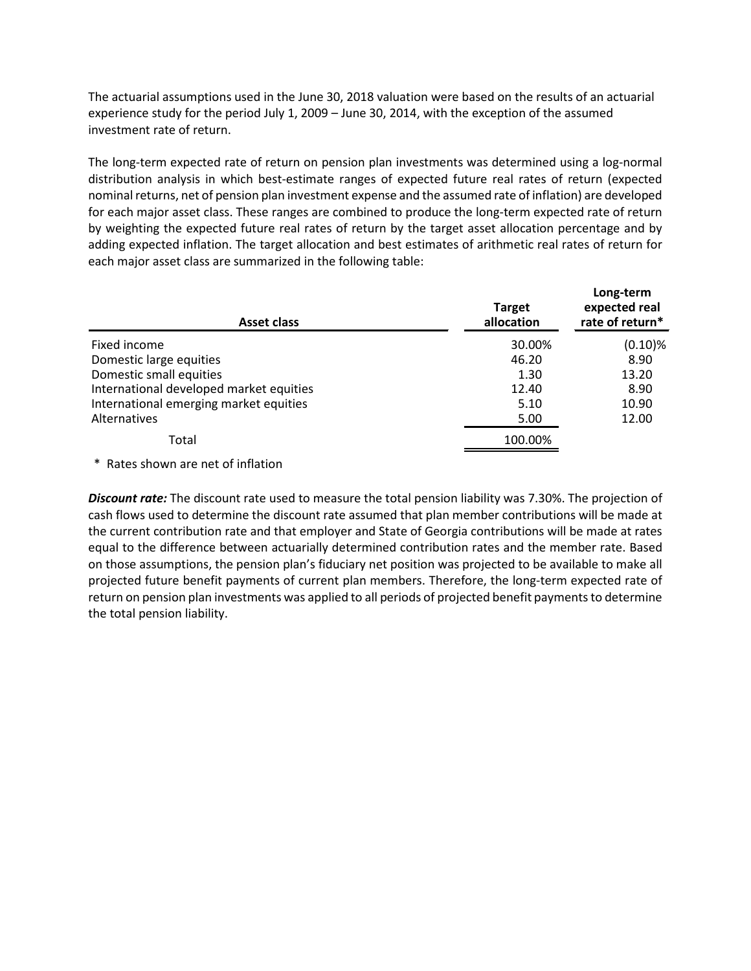The actuarial assumptions used in the June 30, 2018 valuation were based on the results of an actuarial experience study for the period July 1, 2009 – June 30, 2014, with the exception of the assumed investment rate of return.

The long-term expected rate of return on pension plan investments was determined using a log-normal distribution analysis in which best-estimate ranges of expected future real rates of return (expected nominal returns, net of pension plan investment expense and the assumed rate of inflation) are developed for each major asset class. These ranges are combined to produce the long-term expected rate of return by weighting the expected future real rates of return by the target asset allocation percentage and by adding expected inflation. The target allocation and best estimates of arithmetic real rates of return for each major asset class are summarized in the following table:

| Asset class                             | <b>Target</b><br>allocation | Long-term<br>expected real<br>rate of return* |
|-----------------------------------------|-----------------------------|-----------------------------------------------|
| Fixed income                            | 30.00%                      | $(0.10)\%$                                    |
| Domestic large equities                 | 46.20                       | 8.90                                          |
| Domestic small equities                 | 1.30                        | 13.20                                         |
| International developed market equities | 12.40                       | 8.90                                          |
| International emerging market equities  | 5.10                        | 10.90                                         |
| <b>Alternatives</b>                     | 5.00                        | 12.00                                         |
| Total                                   | 100.00%                     |                                               |

\* Rates shown are net of inflation

*Discount rate:* The discount rate used to measure the total pension liability was 7.30%. The projection of cash flows used to determine the discount rate assumed that plan member contributions will be made at the current contribution rate and that employer and State of Georgia contributions will be made at rates equal to the difference between actuarially determined contribution rates and the member rate. Based on those assumptions, the pension plan's fiduciary net position was projected to be available to make all projected future benefit payments of current plan members. Therefore, the long-term expected rate of return on pension plan investments was applied to all periods of projected benefit payments to determine the total pension liability.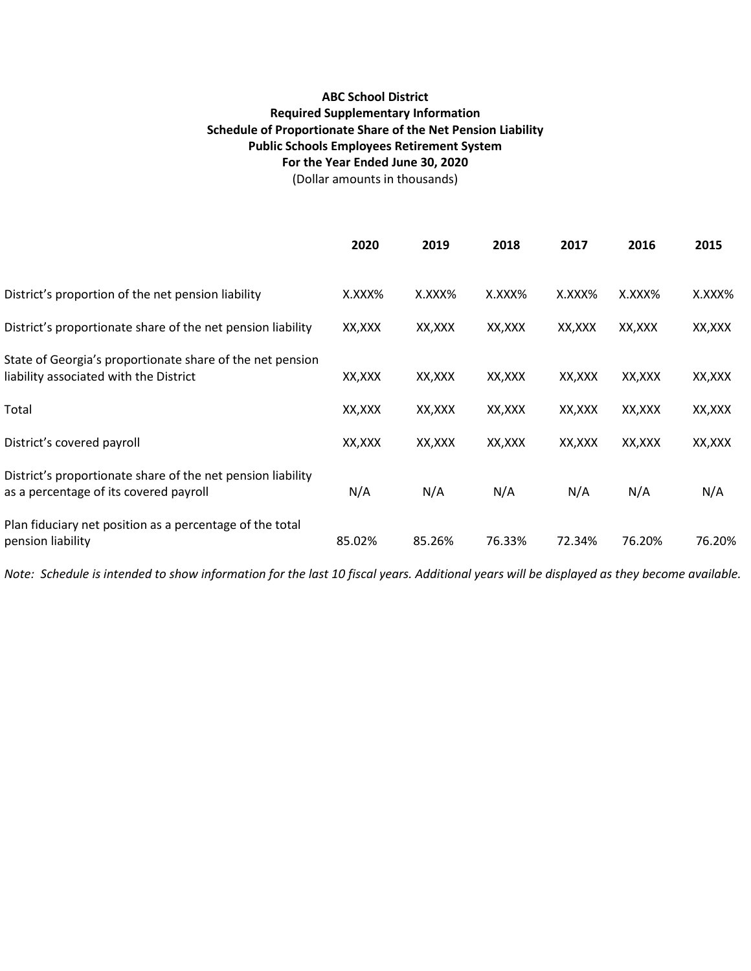# **ABC School District Required Supplementary Information Schedule of Proportionate Share of the Net Pension Liability Public Schools Employees Retirement System For the Year Ended June 30, 2020**

(Dollar amounts in thousands)

|                                                                                                       | 2020    | 2019   | 2018    | 2017    | 2016    | 2015    |
|-------------------------------------------------------------------------------------------------------|---------|--------|---------|---------|---------|---------|
| District's proportion of the net pension liability                                                    | X.XXX%  | X.XXX% | X.XXX%  | X.XXX%  | X.XXX%  | X.XXX%  |
| District's proportionate share of the net pension liability                                           | XX,XXX  | XX,XXX | XX, XXX | XX,XXX  | XX, XXX | XX, XXX |
| State of Georgia's proportionate share of the net pension<br>liability associated with the District   | XX, XXX | XX,XXX | XX, XXX | XX, XXX | XX, XXX | XX, XXX |
| Total                                                                                                 | XX, XXX | XX,XXX | XX, XXX | XX, XXX | XX, XXX | XX, XXX |
| District's covered payroll                                                                            | XX,XXX  | XX,XXX | XX,XXX  | XX,XXX  | XX, XXX | XX, XXX |
| District's proportionate share of the net pension liability<br>as a percentage of its covered payroll | N/A     | N/A    | N/A     | N/A     | N/A     | N/A     |
| Plan fiduciary net position as a percentage of the total<br>pension liability                         | 85.02%  | 85.26% | 76.33%  | 72.34%  | 76.20%  | 76.20%  |

*Note: Schedule is intended to show information for the last 10 fiscal years. Additional years will be displayed as they become available.*